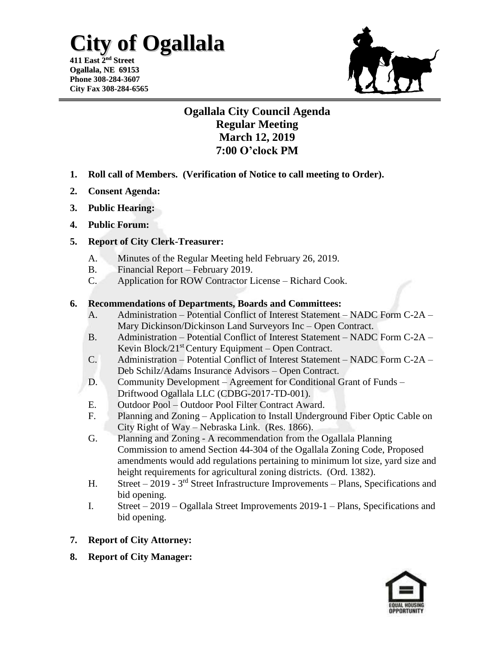## **City of Ogallala**

**411 East 2 nd Street Ogallala, NE 69153 Phone 308-284-3607 City Fax 308-284-6565**



### **Ogallala City Council Agenda Regular Meeting March 12, 2019 7:00 O'clock PM**

- **1. Roll call of Members. (Verification of Notice to call meeting to Order).**
- **2. Consent Agenda:**
- **3. Public Hearing:**
- **4. Public Forum:**

#### **5. Report of City Clerk-Treasurer:**

- A. Minutes of the Regular Meeting held February 26, 2019.
- B. Financial Report February 2019.
- C. Application for ROW Contractor License Richard Cook.

#### **6. Recommendations of Departments, Boards and Committees:**

- A. Administration Potential Conflict of Interest Statement NADC Form C-2A Mary Dickinson/Dickinson Land Surveyors Inc – Open Contract.
- B. Administration Potential Conflict of Interest Statement NADC Form C-2A Kevin Block/ $21<sup>st</sup>$  Century Equipment – Open Contract.
- C. Administration Potential Conflict of Interest Statement NADC Form C-2A Deb Schilz/Adams Insurance Advisors – Open Contract.
- D. Community Development Agreement for Conditional Grant of Funds Driftwood Ogallala LLC (CDBG-2017-TD-001).
- E. Outdoor Pool Outdoor Pool Filter Contract Award.
- F. Planning and Zoning Application to Install Underground Fiber Optic Cable on City Right of Way – Nebraska Link. (Res. 1866).
- G. Planning and Zoning A recommendation from the Ogallala Planning Commission to amend Section 44-304 of the Ogallala Zoning Code, Proposed amendments would add regulations pertaining to minimum lot size, yard size and height requirements for agricultural zoning districts. (Ord. 1382).
- H. Street 2019 3<sup>rd</sup> Street Infrastructure Improvements Plans, Specifications and bid opening.
- I. Street 2019 Ogallala Street Improvements 2019-1 Plans, Specifications and bid opening.
- **7. Report of City Attorney:**
- **8. Report of City Manager:**